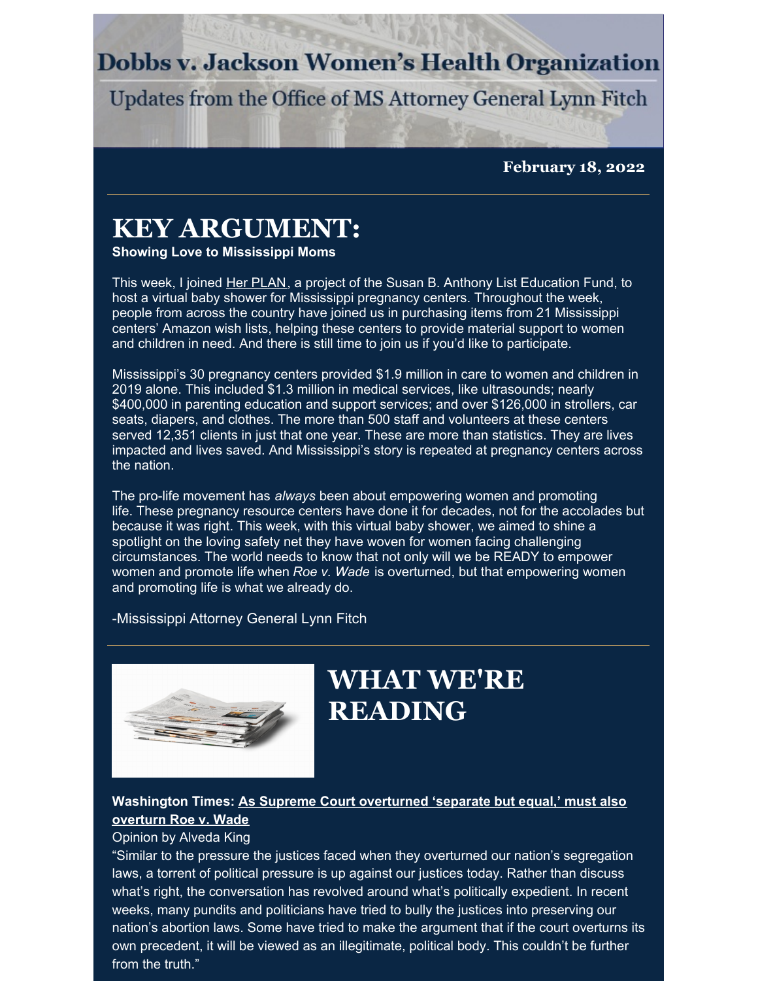### **Dobbs v. Jackson Women's Health Organization**

Updates from the Office of MS Attorney General Lynn Fitch

**February 18, 2022**

### **KEY ARGUMENT:**

**Showing Love to Mississippi Moms**

This week, I joined Her [PLAN](http://herplan.org), a project of the Susan B. Anthony List Education Fund, to host a virtual baby shower for Mississippi pregnancy centers. Throughout the week, people from across the country have joined us in purchasing items from 21 Mississippi centers' Amazon wish lists, helping these centers to provide material support to women and children in need. And there is still time to join us if you'd like to participate.

Mississippi's 30 pregnancy centers provided \$1.9 million in care to women and children in 2019 alone. This included \$1.3 million in medical services, like ultrasounds; nearly \$400,000 in parenting education and support services; and over \$126,000 in strollers, car seats, diapers, and clothes. The more than 500 staff and volunteers at these centers served 12,351 clients in just that one year. These are more than statistics. They are lives impacted and lives saved. And Mississippi's story is repeated at pregnancy centers across the nation.

The pro-life movement has *always* been about empowering women and promoting life. These pregnancy resource centers have done it for decades, not for the accolades but because it was right. This week, with this virtual baby shower, we aimed to shine a spotlight on the loving safety net they have woven for women facing challenging circumstances. The world needs to know that not only will we be READY to empower women and promote life when *Roe v. Wade* is overturned, but that empowering women and promoting life is what we already do.

-Mississippi Attorney General Lynn Fitch



## **WHAT WE'RE READING**

#### **[Washington](https://www.washingtontimes.com/news/2022/feb/7/as-supreme-court-overturned-separate-but-equal-mus/) Times: As Supreme Court overturned 'separate but equal,' must also overturn Roe v. Wade**

#### Opinion by Alveda King

"Similar to the pressure the justices faced when they overturned our nation's segregation laws, a torrent of political pressure is up against our justices today. Rather than discuss what's right, the conversation has revolved around what's politically expedient. In recent weeks, many pundits and politicians have tried to bully the justices into preserving our nation's abortion laws. Some have tried to make the argument that if the court overturns its own precedent, it will be viewed as an illegitimate, political body. This couldn't be further from the truth."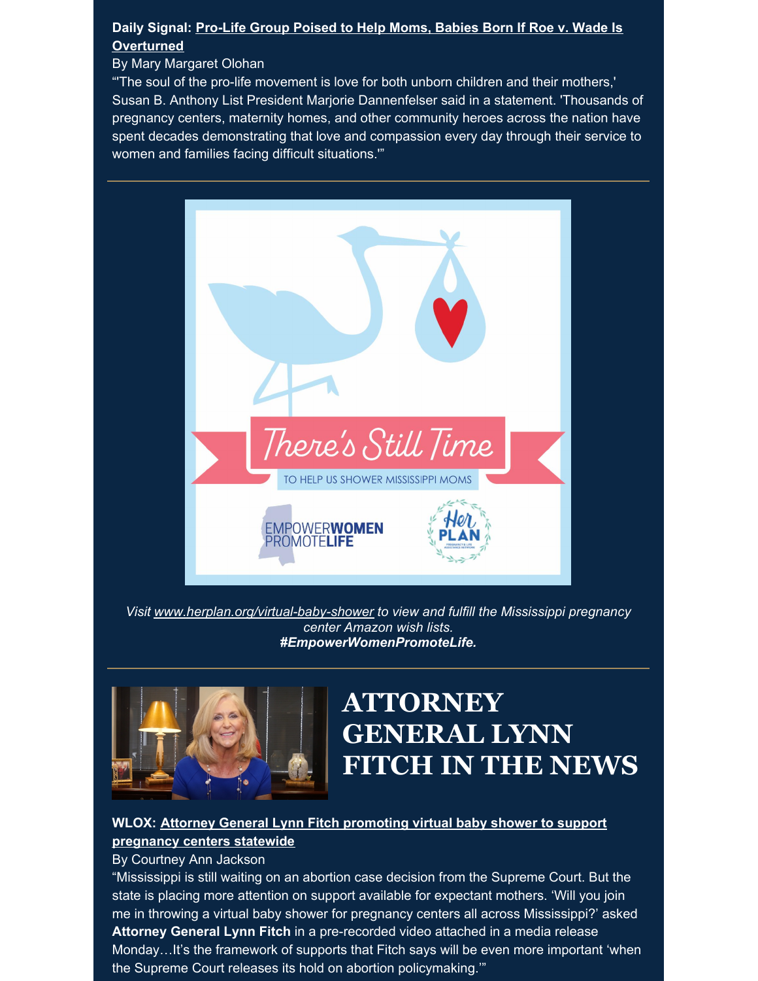#### **Daily Signal: Pro-Life Group Poised to Help Moms, Babies Born If Roe v. Wade Is [Overturned](https://www.dailysignal.com/2022/02/15/pro-life-group-poised-to-help-moms-babies-born-if-roe-v-wade-is-overturned/)**

#### By Mary Margaret Olohan

"'The soul of the pro-life movement is love for both unborn children and their mothers,' Susan B. Anthony List President Marjorie Dannenfelser said in a statement. 'Thousands of pregnancy centers, maternity homes, and other community heroes across the nation have spent decades demonstrating that love and compassion every day through their service to women and families facing difficult situations.'"



*Visit [www.herplan.org/virtual-baby-shower](https://herplan.org/virtual-baby-shower/) to view and fulfill the Mississippi pregnancy center Amazon wish lists. #EmpowerWomenPromoteLife.*



# **ATTORNEY GENERAL LYNN FITCH IN THE NEWS**

#### **WLOX: Attorney General Lynn Fitch [promoting](https://www.wlox.com/2022/02/15/attorney-general-lynn-fitch-promoting-virtual-baby-shower-support-pregnancy-centers-statewide/) virtual baby shower to support pregnancy centers statewide**

By Courtney Ann Jackson

"Mississippi is still waiting on an abortion case decision from the Supreme Court. But the state is placing more attention on support available for expectant mothers. 'Will you join me in throwing a virtual baby shower for pregnancy centers all across Mississippi?' asked **Attorney General Lynn Fitch** in a pre-recorded video attached in a media release Monday…It's the framework of supports that Fitch says will be even more important 'when the Supreme Court releases its hold on abortion policymaking.'"